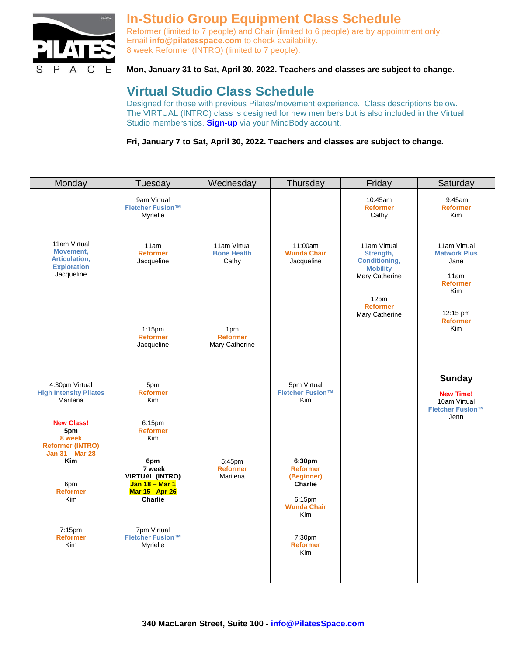

## **In-Studio Group Equipment Class Schedule**

Reformer (limited to 7 people) and Chair (limited to 6 people) are by appointment only. Email **[info@pilatesspace.com](mailto:info@pilatesspace.com)** to check availability. 8 week Reformer (INTRO) (limited to 7 people).

## **Mon, January 31 to Sat, April 30, 2022. Teachers and classes are subject to change.**

# **Virtual Studio Class Schedule**

Designed for those with previous Pilates/movement experience. Class descriptions below. The VIRTUAL (INTRO) class is designed for new members but is also included in the Virtual Studio memberships. **[Sign-up](https://clients.mindbodyonline.com/classic/ws?studioid=2741&stype=-101&sView=week&sLoc=0)** via your MindBody account.

**Fri, January 7 to Sat, April 30, 2022. Teachers and classes are subject to change.** 

| Monday                                                                                  | Tuesday                                                                       | Wednesday                                   | Thursday                                                            | Friday                                                                                                                              | Saturday                                                                                                     |
|-----------------------------------------------------------------------------------------|-------------------------------------------------------------------------------|---------------------------------------------|---------------------------------------------------------------------|-------------------------------------------------------------------------------------------------------------------------------------|--------------------------------------------------------------------------------------------------------------|
|                                                                                         | 9am Virtual<br>Fletcher Fusion™<br>Myrielle                                   |                                             |                                                                     | 10:45am<br><b>Reformer</b><br>Cathy                                                                                                 | 9:45am<br><b>Reformer</b><br><b>Kim</b>                                                                      |
| 11am Virtual<br>Movement,<br>Articulation,<br><b>Exploration</b><br>Jacqueline          | 11am<br><b>Reformer</b><br>Jacqueline                                         | 11am Virtual<br><b>Bone Health</b><br>Cathy | 11:00am<br><b>Wunda Chair</b><br>Jacqueline                         | 11am Virtual<br>Strength,<br><b>Conditioning,</b><br><b>Mobility</b><br>Mary Catherine<br>12pm<br><b>Reformer</b><br>Mary Catherine | 11am Virtual<br><b>Matwork Plus</b><br>Jane<br>11am<br><b>Reformer</b><br>Kim<br>12:15 pm<br><b>Reformer</b> |
|                                                                                         | $1:15$ pm<br><b>Reformer</b><br>Jacqueline                                    | 1pm<br><b>Reformer</b><br>Mary Catherine    |                                                                     |                                                                                                                                     | <b>Kim</b>                                                                                                   |
| 4:30pm Virtual<br><b>High Intensity Pilates</b><br>Marilena<br><b>New Class!</b><br>5pm | 5pm<br><b>Reformer</b><br><b>Kim</b><br>6:15pm<br><b>Reformer</b>             |                                             | 5pm Virtual<br>Fletcher Fusion™<br>Kim                              |                                                                                                                                     | <b>Sunday</b><br><b>New Time!</b><br>10am Virtual<br>Fletcher Fusion™<br>Jenn                                |
| 8 week<br><b>Reformer (INTRO)</b><br>Jan 31 - Mar 28<br><b>Kim</b>                      | <b>Kim</b><br>6pm<br>7 week                                                   | 5:45pm<br><b>Reformer</b>                   | 6:30pm<br><b>Reformer</b>                                           |                                                                                                                                     |                                                                                                              |
| 6pm<br><b>Reformer</b><br><b>Kim</b>                                                    | <b>VIRTUAL (INTRO)</b><br>Jan 18 - Mar 1<br>Mar 15 - Apr 26<br><b>Charlie</b> | Marilena                                    | (Beginner)<br><b>Charlie</b><br>6:15pm<br><b>Wunda Chair</b><br>Kim |                                                                                                                                     |                                                                                                              |
| 7:15pm<br><b>Reformer</b><br>Kim                                                        | 7pm Virtual<br>Fletcher Fusion™<br>Myrielle                                   |                                             | 7:30pm<br><b>Reformer</b><br>Kim                                    |                                                                                                                                     |                                                                                                              |